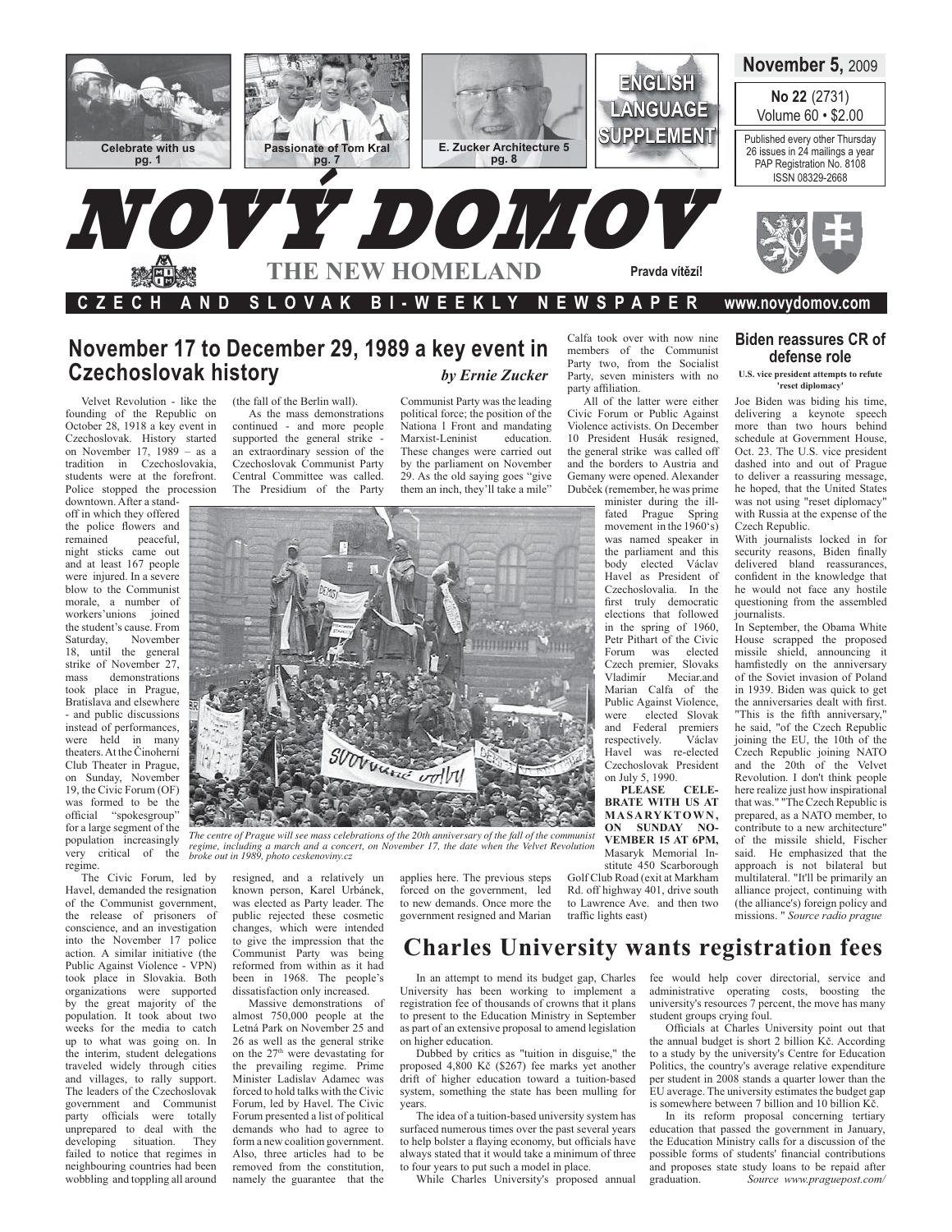

## November 17 to December 29, 1989 a key event in **Czechoslovak history** by Ernie Zucker

Velvet Revolution - like the founding of the Republic on October 28, 1918 a key event in Czechoslovak. History started on November 17,  $1989 - as a$ tradition in Czechoslovakia, students were at the forefront. Police stopped the procession downtown. After a stand-

off in which they offered the police flowers and peaceful, remained night sticks came out and at least 167 people were injured. In a severe blow to the Communist morale, a number of workers'unions joined the student's cause. From Saturday, November 18, until the general strike of November 27, demonstrations mass took place in Prague, Bratislava and elsewhere - and public discussions instead of performances, were held in many theaters. At the Činoherní Club Theater in Prague, on Sunday, November 19. the Civic Forum (OF) was formed to be the official "spokesgroup" for a large segment of the population increasingly very critical of the regime.

The Civic Forum, led by Havel, demanded the resignation of the Communist government, the release of prisoners of conscience, and an investigation into the November 17 police action. A similar initiative (the Public Against Violence - VPN) took place in Slovakia. Both organizations were supported by the great majority of the population. It took about two weeks for the media to catch up to what was going on. In the interim, student delegations traveled widely through cities and villages, to rally support. The leaders of the Czechoslovak government and Communist party officials were totally unprepared to deal with the developing situation. They failed to notice that regimes in neighbouring countries had been wobbling and toppling all around

(the fall of the Berlin wall).

As the mass demonstrations continued - and more people<br>supported the general strike an extraordinary session of the Czechoslovak Communist Party Central Committee was called. The Presidium of the Party

Communist Party was the leading political force; the position of the Nationa 1 Front and mandating education. Marxist-Leninist

These changes were carried out by the parliament on November 29. As the old saying goes "give" them an inch, they'll take a mile"

Calfa took over with now nine members of the Communist Party two, from the Socialist Party, seven ministers with no party affiliation.

All of the latter were either Civic Forum or Public Against Violence activists. On December 10 President Husák resigned, the general strike was called off and the borders to Austria and Gemany were opened. Alexander Dubček (remember, he was prime

minister during the illfated Prague Spring movement in the  $1960's$ ) was named speaker in the parliament and this body elected Václav Havel as President of Czechoslovalia. In the first truly democratic elections that followed in the spring of 1960, Petr Pithart of the Civic Forum was elected Czech premier, Slovaks Vladimír Meciar.and<br>Marian Calfa of the Public Against Violence, elected Slovak were and Federal premiers respectively. Václav Havel was re-elected Czechoslovak President on July 5, 1990.

PLEASE CELE-<br>BRATE WITH US AT MASARYKTOWN, ON SUNDAY NO-VEMBER 15 AT 6PM, Masaryk Memorial Institute 450 Scarborough Golf Club Road (exit at Markham Rd. off highway 401, drive south to Lawrence Ave. and then two traffic lights east)

## **Biden reassures CR of** defense role

#### U.S. vice president attempts to refute reset diplomacy

Joe Biden was biding his time, delivering a keynote speech more than two hours behind schedule at Government House. Oct. 23. The U.S. vice president dashed into and out of Prague to deliver a reassuring message, he hoped, that the United States was not using "reset diplomacy" with Russia at the expense of the Czech Republic.

With journalists locked in for security reasons, Biden finally delivered bland reassurances confident in the knowledge that he would not face any hostile questioning from the assembled iournalists

In September, the Obama White House scrapped the proposed missile shield, announcing it hamfistedly on the anniversary of the Soviet invasion of Poland in 1939. Biden was quick to get the anniversaries dealt with first. "This is the fifth anniversary," he said, "of the Czech Republic joining the EU, the 10th of the Czech Republic joining NATO and the 20th of the Velvet Revolution. I don't think people here realize just how inspirational<br>that was." "The Czech Republic is prepared, as a NATO member, to contribute to a new architecture" of the missile shield, Fischer said. He emphasized that the approach is not bilateral but multilateral. "It'll be primarily an alliance project, continuing with (the alliance's) foreign policy and missions. " Source radio prague



The centre of Prague will see mass celebrations of the 20th anniversary of the fall of the communist regime, including a march and a concert, on November 17, the date when the Velvet Revolution broke out in 1989, photo ceskenoviny.cz

resigned, and a relatively un known person, Karel Urbánek, was elected as Party leader. The public rejected these cosmetic changes, which were intended to give the impression that the Communist Party was being reformed from within as it had been in 1968. The people's dissatisfaction only increased.

Massive demonstrations of almost 750,000 people at the Letná Park on November 25 and 26 as well as the general strike on the 27<sup>th</sup> were devastating for the prevailing regime. Prime Minister Ladislav Adamec was forced to hold talks with the Civic Forum, led by Havel. The Civic Forum presented a list of political demands who had to agree to form a new coalition government. Also, three articles had to be removed from the constitution, namely the guarantee that the

applies here. The previous steps forced on the government, led to new demands. Once more the government resigned and Marian

# **Charles University wants registration fees**

In an attempt to mend its budget gap, Charles University has been working to implement a registration fee of thousands of crowns that it plans to present to the Education Ministry in September as part of an extensive proposal to amend legislation on higher education.

Dubbed by critics as "tuition in disguise," the proposed 4,800 Kč (\$267) fee marks yet another drift of higher education toward a tuition-based system, something the state has been mulling for years.

The idea of a tuition-based university system has surfaced numerous times over the past several years to help bolster a flaying economy, but officials have always stated that it would take a minimum of three to four years to put such a model in place.

While Charles University's proposed annual

fee would help cover directorial, service and administrative operating costs, boosting the university's resources 7 percent, the move has many student groups crying foul.

Officials at Charles University point out that the annual budget is short 2 billion Kč. According to a study by the university's Centre for Education Politics, the country's average relative expenditure per student in 2008 stands a quarter lower than the EU average. The university estimates the budget gap is somewhere between 7 billion and 10 billion Kč.

In its reform proposal concerning tertiary education that passed the government in January, the Education Ministry calls for a discussion of the possible forms of students' financial contributions and proposes state study loans to be repaid after Source www.praguepost.com/ graduation.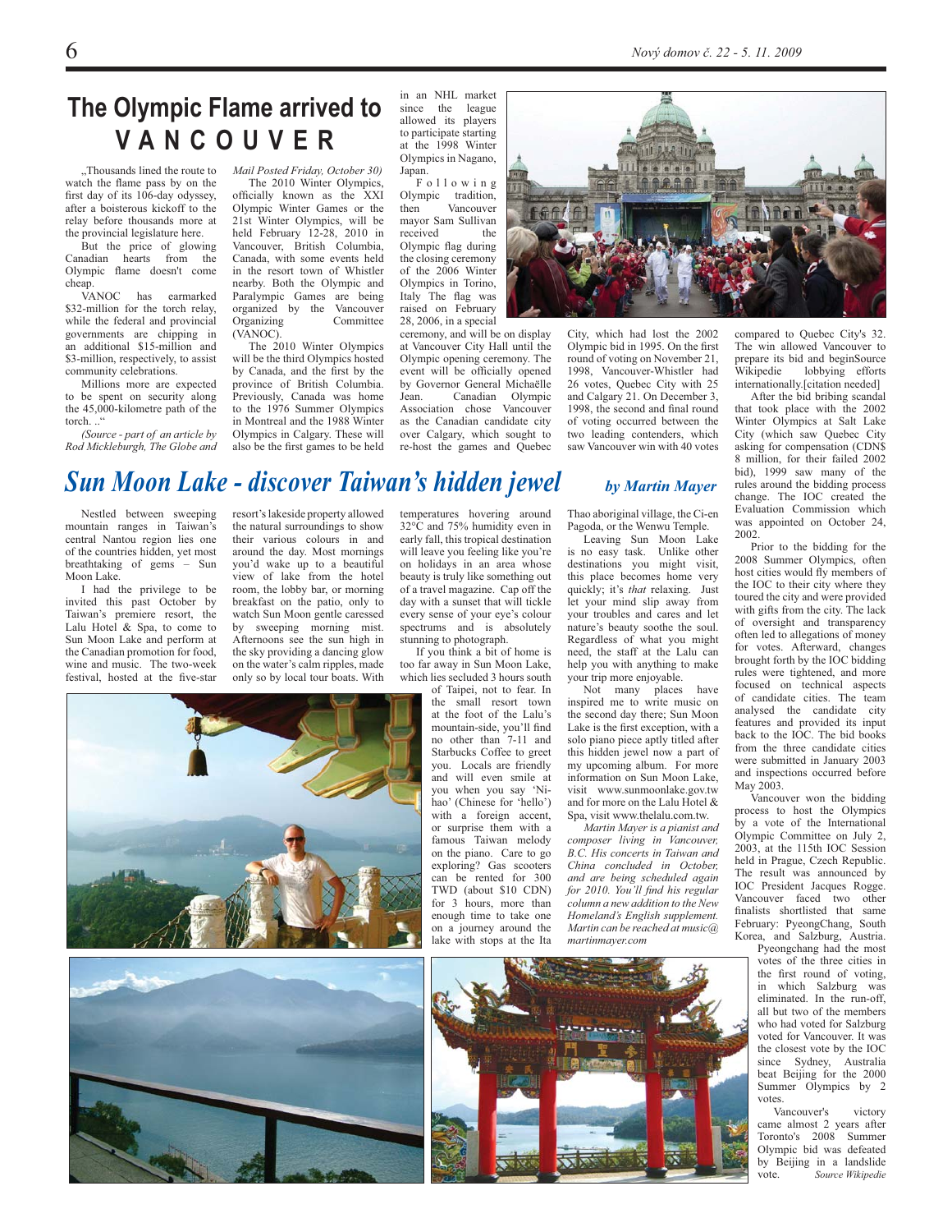# The Olympic Flame arrived to VANCOUVER

"Thousands lined the route to watch the flame pass by on the first day of its 106-day odyssey, after a boisterous kickoff to the relay before thousands more at the provincial legislature here.

But the price of glowing Canadian hearts from the Olympic flame doesn't come cheap.

VANOC has earmarked \$32-million for the torch relay, while the federal and provincial governments are chipping in an additional \$15-million and \$3-million, respectively, to assist community celebrations.

Millions more are expected to be spent on security along the 45,000-kilometre path of the torch..."

(Source - part of an article by Rod Mickleburgh, The Globe and Mail Posted Friday, October 30)

The 2010 Winter Olympics. officially known as the XXI Olympic Winter Games or the 21st Winter Olympics, will be held February 12-28, 2010 in Vancouver, British Columbia, Canada, with some events held in the resort town of Whistler nearby. Both the Olympic and Paralympic Games are being organized by the Vancouver Organizing Committee  $(VANOC)$ .

The 2010 Winter Olympics will be the third Olympics hosted by Canada, and the first by the province of British Columbia. Previously, Canada was home to the 1976 Summer Olympics in Montreal and the 1988 Winter Olympics in Calgary. These will also be the first games to be held

in an NHL market since the league allowed its players to participate starting at the 1998 Winter Olympics in Nagano, Japan.

Following Olympic tradition, then Vancouver mayor Sam Sullivan received the Olympic flag during the closing ceremony of the 2006 Winter Olympics in Torino, Italy The flag was raised on February 28, 2006, in a special

ceremony, and will be on display at Vancouver City Hall until the Olympic opening ceremony. The event will be officially opened<br>by Governor General Michaëlle Jean. Canadian Olympic<br>Association chose Vancouver as the Canadian candidate city over Calgary, which sought to re-host the games and Quebec



City, which had lost the 2002 Olympic bid in 1995. On the first round of voting on November 21, 1998, Vancouver-Whistler had 26 votes. Ouebec City with 25 and Calgary 21. On December 3, 1998, the second and final round of voting occurred between the two leading contenders, which saw Vancouver win with 40 votes compared to Ouebec City's 32 The win allowed Vancouver to prepare its bid and beginSource lobbying efforts Wikipedie internationally.[citation needed]

After the bid bribing scandal that took place with the 2002 Winter Olympics at Salt Lake City (which saw Ouebec City asking for compensation (CDN\$ 8 million, for their failed 2002 bid), 1999 saw many of the rules around the bidding process change. The IOC created the Evaluation Commission which was appointed on October 24, 2002

Prior to the bidding for the 2008 Summer Olympics, often host cities would fly members of the IOC to their city where they toured the city and were provided with gifts from the city. The lack of oversight and transparency often led to allegations of money for votes. Afterward, changes brought forth by the IOC bidding rules were tightened, and more focused on technical aspects of candidate cities. The team analysed the candidate city features and provided its input back to the IOC. The bid books from the three candidate cities were submitted in January 2003 and inspections occurred before May 2003.

.<br>Vancouver won the bidding process to host the Olympics by a vote of the International Olympic Committee on July 2, 2003, at the 115th IOC Session held in Prague, Czech Republic. The result was announced by IOC President Jacques Rogge. Vancouver faced two other finalists shortlisted that same February: PyeongChang, South Korea, and Salzburg, Austria.<br>Pyeongchang had the most

votes of the three cities in the first round of voting, in which Salzburg was eliminated. In the run-off, all but two of the members who had voted for Salzburg voted for Vancouver. It was the closest vote by the IOC since Sydney, Australia beat Beijing for the 2000 Summer Olympics by 2 votes.

Vancouver's victory came almost 2 years after Toronto's 2008 Summer Olympic bid was defeated by Beijing in a landslide vote. Source Wikipedie

# Sun Moon Lake - discover Taiwan's hidden jewel

Nestled between sweeping mountain ranges in Taiwan's central Nantou region lies one of the countries hidden, yet most breathtaking of gems - Sun Moon Lake.

I had the privilege to be invited this past October by Taiwan's premiere resort, the Lalu Hotel & Spa, to come to Sun Moon Lake and perform at the Canadian promotion for food, wine and music. The two-week festival, hosted at the five-star resort's lakeside property allowed the natural surroundings to show their various colours in and around the day. Most mornings you'd wake up to a beautiful view of lake from the hotel room, the lobby bar, or morning breakfast on the patio, only to watch Sun Moon gentle caressed by sweeping morning mist. Afternoons see the sun high in the sky providing a dancing glow on the water's calm ripples, made only so by local tour boats. With temperatures hovering around  $32^{\circ}$ C and 75% humidity even in early fall, this tropical destination will leave you feeling like you're on holidays in an area whose beauty is truly like something out of a travel magazine. Cap off the day with a sunset that will tickle every sense of your eye's colour spectrums and is absolutely stunning to photograph.

too far away in Sun Moon Lake, which lies secluded 3 hours south

the small resort town at the foot of the Lalu's mountain-side, you'll find no other than 7-11 and Starbucks Coffee to greet you. Locals are friendly and will even smile at you when you say 'Nihao' (Chinese for 'hello') with a foreign accent, or surprise them with a famous Taiwan melody on the piano. Care to go exploring? Gas scooters can be rented for 300 TWD (about \$10 CDN) for 3 hours, more than enough time to take one on a journey around the lake with stops at the Ita

If you think a bit of home is

of Taipei, not to fear. In

Thao aboriginal village, the Ci-en Pagoda, or the Wenwu Temple. Leaving Sun Moon Lake

by Martin Mayer

is no easy task. Unlike other destinations you might visit, this place becomes home very quickly: it's *that* relaxing. Just let your mind slip away from vour troubles and cares and let nature's beauty soothe the soul. Regardless of what you might need, the staff at the Lalu can help you with anything to make your trip more enjoyable.

Not many places have inspired me to write music on the second day there; Sun Moon Lake is the first exception, with a solo piano piece aptly titled after this hidden jewel now a part of my upcoming album. For more information on Sun Moon Lake visit www.sunmoonlake.gov.tw and for more on the Lalu Hotel  $\&$ Spa, visit www.thelalu.com.tw.

Martin Mayer is a pianist and composer living in Vancouver, B.C. His concerts in Taiwan and China concluded in October, and are being scheduled again for 2010. You'll find his regular column a new addition to the New Homeland's English supplement. Martin can be reached at music@ martinmayer.com





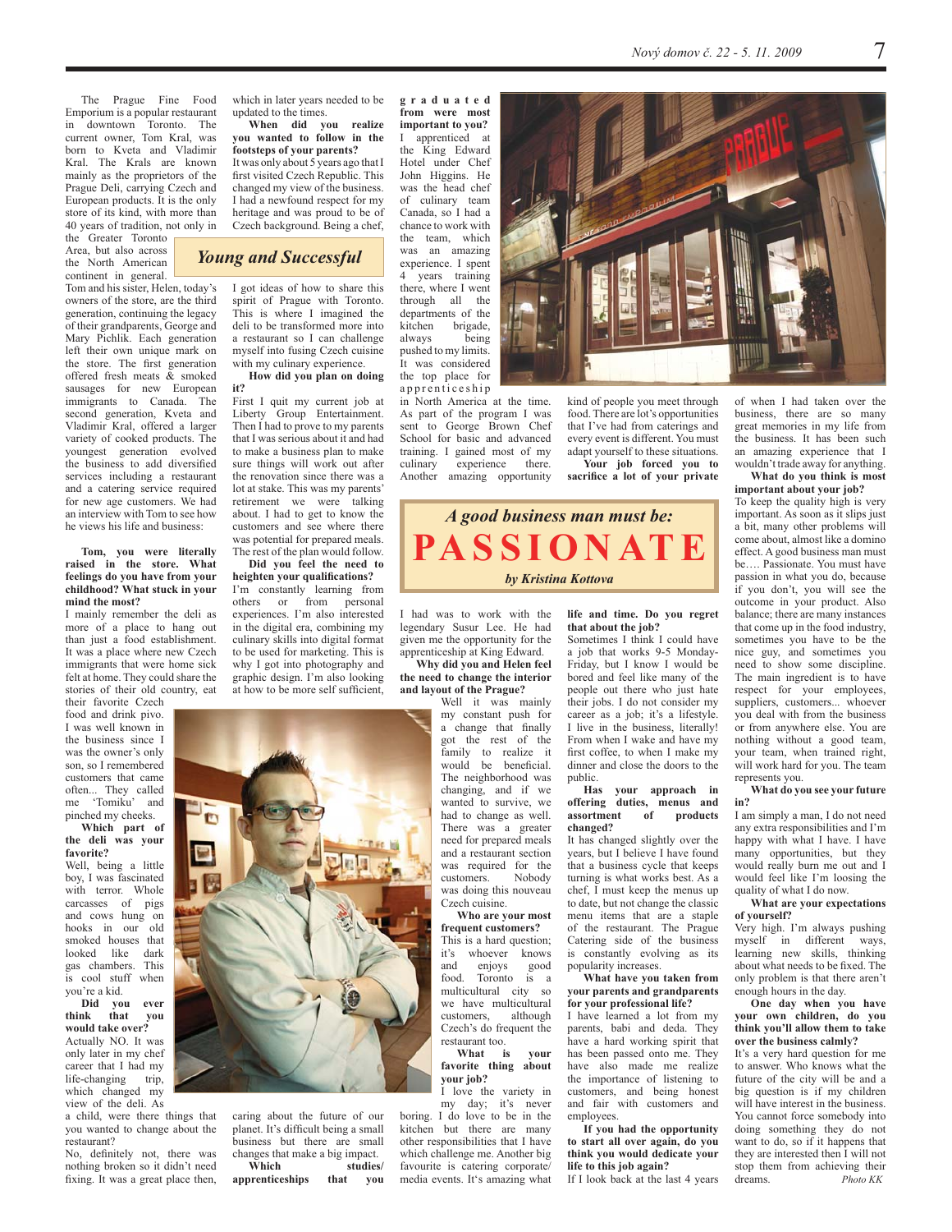The Prague Fine Food Emporium is a popular restaurant in downtown Toronto. The<br>current owner, Tom Kral, was born to Kveta and Vladimir Kral. The Krals are known mainly as the proprietors of the Prague Deli, carrying Czech and European products. It is the only store of its kind, with more than 40 years of tradition, not only in the Greater Toronto

Area, but also across the North American continent in general.

Tom and his sister, Helen, today's owners of the store, are the third generation, continuing the legacy of their grandparents, George and Mary Pichlik. Each generation left their own unique mark on the store. The first generation offered fresh meats & smoked sausages for new European immigrants to Canada. The second generation, Kveta and Vladimir Kral, offered a larger variety of cooked products. The youngest generation evolved the business to add diversified services including a restaurant and a catering service required for new age customers. We had an interview with Tom to see how he views his life and business:

### Tom, you were literally raised in the store. What feelings do you have from your<br>childhood? What stuck in your mind the most?

I mainly remember the deli as more of a place to hang out than just a food establishment. It was a place where new Czech immigrants that were home sick felt at home. They could share the stories of their old country, eat their favorite Czech

food and drink pivo. I was well known in the business since I was the owner's only son, so I remembered customers that came often... They called<br>me 'Tomiku' and pinched my cheeks.

#### Which part of the deli was your favorite?

Well, being a little boy, I was fascinated with terror. Whole carcasses of pigs and cows hung on hooks in our old smoked houses that looked like dark gas chambers. This is cool stuff when you're a kid.

Did you ever think that you would take over? Actually NO. It was only later in my chef

career that I had my life-changing trip, which changed my view of the deli. As

a child, were there things that you wanted to change about the restaurant?

No, definitely not, there was nothing broken so it didn't need fixing. It was a great place then, which in later years needed to be updated to the times.

When did you realize<br>you wanted to follow in the footsteps of your parents? It was only about 5 years ago that I first visited Czech Republic. This changed my view of the business. I had a newfound respect for my heritage and was proud to be of Czech background. Being a chef,

## **Young and Successful**

I got ideas of how to share this spirit of Prague with Toronto. This is where I imagined the deli to be transformed more into a restaurant so I can challenge myself into fusing Czech cuisine with my culinary experience.

How did you plan on doing  $\frac{1}{2}$ 

First I quit my current job at Liberty Group Entertainment. Then I had to prove to my parents that I was serious about it and had to make a business plan to make sure things will work out after the renovation since there was a lot at stake. This was my parents' retirement we were talking about. I had to get to know the customers and see where there was potential for prepared meals. The rest of the plan would follow.

Did you feel the need to heighten your qualifications? I'm constantly learning from from personal others or experiences. I'm also interested in the digital era, combining my culinary skills into digital format to be used for marketing. This is why I got into photography and graphic design. I'm also looking at how to be more self sufficient,



caring about the future of our planet. It's difficult being a small business but there are small changes that make a big impact. Which studies/

apprenticeships that you graduated from were most important to you? I apprenticed at the King Edward Hotel under Chef John Higgins. He was the head chef of culinary team Canada, so I had a chance to work with the team, which was an amazing experience. I spent 4 years training there, where I went through all the denartments of the kitchen brigade, always being pushed to my limits. It was considered the top place for

apprenticeship in North America at the time. As part of the program I was sent to George Brown Chef School for basic and advanced training. I gained most of my culinary experience there. Another amazing opportunity

kind of people you meet through food. There are lot's opportunities that I've had from caterings and every event is different. You must adapt yourself to these situations. Your job forced you to sacrifice a lot of your private



I had was to work with the legendary Susur Lee. He had given me the opportunity for the apprenticeship at King Edward.

Why did you and Helen feel the need to change the interior and layout of the Prague?

Well it was mainly my constant push for a change that finally got the rest of the family to realize it would be beneficial. The neighborhood was changing, and if we wanted to survive, we had to change as well. There was a greater need for prepared meals and a restaurant section was required for the customers. Nobody was doing this nouveau Czech cuisine.

Who are your most frequent customers?

This is a hard question; it's whoever knows and eniovs good food. Toronto is a multicultural city so we have multicultural customers although Czech's do frequent the restaurant too.

What is vour favorite thing about your job?

I love the variety in my day; it's never boring. I do love to be in the kitchen but there are many other responsibilities that I have which challenge me. Another big favourite is catering corporate/ media events. It's amazing what life and time. Do you regret that about the job?

Sometimes I think I could have a job that works 9-5 Monday-Friday, but I know I would be bored and feel like many of the people out there who just hate their jobs. I do not consider my career as a job; it's a lifestyle. I live in the business, literally! From when I wake and have my first coffee, to when I make my dinner and close the doors to the public.

#### Has your approach in<br>offering duties, menus and  $of$ assortment products changed?

It has changed slightly over the vears, but I believe I have found that a business cycle that keeps turning is what works best. As a chef, I must keep the menus up to date, but not change the classic menu items that are a staple of the restaurant. The Prague Catering side of the business is constantly evolving as its popularity increases.

#### What have you taken from your parents and grandparents for your professional life?

I have learned a lot from my parents, babi and deda. They have a hard working spirit that has been passed onto me. They have also made me realize the importance of listening to customers, and being honest and fair with customers and employees.

If you had the opportunity to start all over again, do you think you would dedicate your life to this job again?

If I look back at the last 4 years



of when I had taken over the business, there are so many great memories in my life from the business. It has been such an amazing experience that I wouldn't trade away for anything.

What do you think is most important about your job?

To keep the quality high is very important. As soon as it slips just a bit, many other problems will come about, almost like a domino effect. A good business man must be Passionate You must have passion in what you do, because if you don't, you will see the outcome in your product. Also balance; there are many instances that come up in the food industry, sometimes you have to be the nice guy, and sometimes you need to show some discipline. The main ingredient is to have respect for your employees, suppliers, customers... whoever you deal with from the business or from anywhere else. You are nothing without a good team, your team, when trained right, will work hard for you. The team represents you.

#### What do you see your future  $in<sup>9</sup>$

I am simply a man, I do not need any extra responsibilities and I'm happy with what I have. I have many opportunities, but they would really burn me out and I would feel like I'm loosing the quality of what I do now.

#### What are your expectations of vourself?

Very high. I'm always pushing myself in different ways, learning new skills, thinking about what needs to be fixed. The only problem is that there aren't enough hours in the day.

One day when you have vour own children, do you think you'll allow them to take over the business calmly?

It's a very hard question for me to answer. Who knows what the future of the city will be and a big question is if my children will have interest in the business. You cannot force somebody into doing something they do not want to do, so if it happens that they are interested then I will not stop them from achieving their Photo KK dreams.